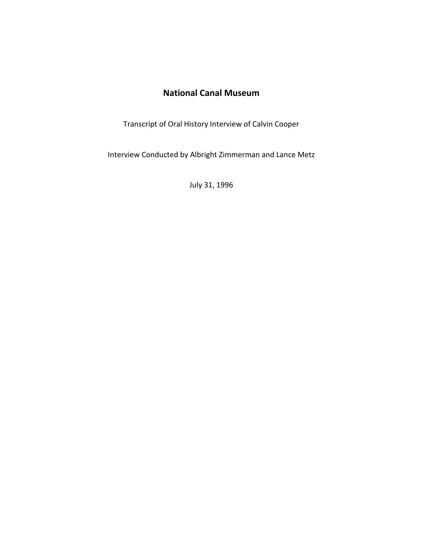## **National Canal Museum**

Transcript of Oral History Interview of Calvin Cooper

Interview Conducted by Albright Zimmerman and Lance Metz

July 31, 1996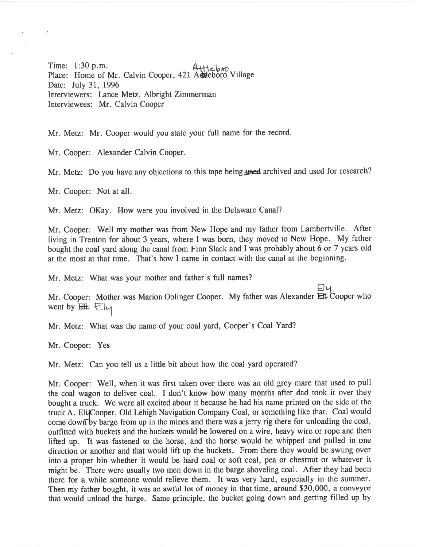Time: 1:30 p.m. Place: Home of Mr. Calvin Cooper, 421 Aeheboro Village Date: July 31, 1996 Interviewers: Lance Metz, Albright Zimmerman Interviewees: Mr. Calvin Cooper

Mr. Metz: Mr. Cooper would you state your full name for the record.

Mr. Cooper: Alexander Calvin Cooper.

Mr. Metz: Do you have any objections to this tape being used archived and used for research?

Mr. Cooper: Not at all.

Mr. Metz: OKay. How were you involved in the Delaware Canal?

Mr. Cooper: Well my mother was from New Hope and my father from Lambertville. After living in Trenton for about <sup>3</sup> years, where <sup>I</sup> was born, they moved to New Hope. My father bought the coal yar<sup>d</sup> along the canal from Finn Slack and <sup>I</sup> was probably about <sup>6</sup> or <sup>7</sup> years old at the most at that time. That's how I came in contact with the canal at the beginning.

Mr. Metz: What was your mother and father's full names?

Ely Mr. Cooper: Mother was Marion Oblinger Cooper. My father was Alexander Ett-Cooper who went by  $E#$ .  $E|_{V}$ 

Mr. Metz: What was the name of your coal yard, Cooper's Coal Yard?

Mr. Cooper: Yes

Mr. Metz: Can you tell us <sup>a</sup> little bit about how the coal yar<sup>d</sup> operated?

Mr. Cooper: Well, when it was first taken over there was an old grey mare that used to pull the coal wagon to deliver coal. <sup>I</sup> don't know how many months after dad took it over they bought <sup>a</sup> truck. We were all excited about it because he had his name printed on the side of the truck A. Eli Cooper, Old Lehigh Navigation Company Coal, or something like that. Coal would come down by barge from up in the mines and there was a jerry rig there for unloading the coal, outfitted with buckets and the buckets would be lowered on <sup>a</sup> wire, heavy wire or rope and then lifted up. It was fastened to the horse, and the horse would be whipped and pulled in one direction or another and that would lift up the buckets. From there they would be swung over into <sup>a</sup> proper bin whether it would be hard coal or soft coal, pea or chestnut or whatever it might be. There were usually two men down in the barge shoveling coal. After they had been there for <sup>a</sup> while someone would relieve them. It was very hard, especially in the summer. Then my father bought, it was an awful lot of money in that time, around \$30,000, <sup>a</sup> conveyor that would unload the barge. Same principle, the bucket going down and getting filled up by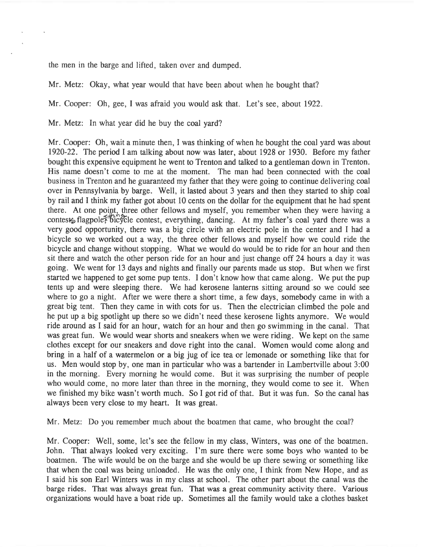the men in the barge and lifted, taken over and dumped.

Mr. Metz: Okay, what year would that have been about when he bought that?

Mr. Cooper: Oh, gee, I was afraid you would ask that. Let's see, about 1922.

Mr. Metz: In what year did he buy the coal yard?

Mr. Cooper: Oh, wait <sup>a</sup> minute then, I was thinking of when he bought the coal yard was about 1920-22. The period I am talking about now was later, about 1928 or 1930. Before my father bought this expensive equipment he went to Trenton and talked to <sup>a</sup> gentleman down in Trenton. His name doesn't come to me at the moment. The man had been connected with the coal business in Trenton and he guaranteed my father that they were going to continue delivering coal over in Pennsylvania by barge. Well, it lasted about 3 years and then they started to ship coal by rail and I think my father go<sup>t</sup> about 10 cents on the dollar for the equipment that he had spen<sup>t</sup> there. At one point, three other fellows and myself, you remember when they were having <sup>a</sup> contests flagpole? bic contest, everything, dancing. At my father's coal yard there was a very good opportunity, there was <sup>a</sup> big circle with an electric pole in the center and I had <sup>a</sup> bicycle so we worked out <sup>a</sup> way, the three other fellows and myself how we could ride the bicycle and change without stopping. What we would do would be to ride for an hour and then sit there and watch the other person ride for an hour and just change off 24 hours <sup>a</sup> day it was going. We went for 13 days and nights and finally our parents made us stop. But when we first started we happened to ge<sup>t</sup> some pup tents. I don't know how that came along. We pu<sup>t</sup> the pup tents up and were sleeping there. We had kerosene lanterns sitting around so we could see where to go <sup>a</sup> night. After we were there <sup>a</sup> short time, <sup>a</sup> few days, somebody came in with <sup>a</sup> grea<sup>t</sup> big tent. Then they came in with cots for us. Then the electrician climbed the pole and he pu<sup>t</sup> up <sup>a</sup> big spotlight up there so we didn't need these kerosene lights anymore. We would ride around as <sup>I</sup> said for an hour, watch for an hour and then go swimming in the canal. That was grea<sup>t</sup> fun. We would wear shorts and sneakers when we were riding. We kept on the same clothes excep<sup>t</sup> for our sneakers and dove right into the canal. Women would come along and bring in <sup>a</sup> half of <sup>a</sup> watermelon or <sup>a</sup> big jug of ice tea or lemonade or something like that for us. Men would stop by, one man in particular who was <sup>a</sup> bartender in Lambertville about 3:00 in the morning. Every morning he would come. But it was surprising the number of people who would come, no more later than three in the morning, they would come to see it. When we finished my bike wasn't worth much. So I go<sup>t</sup> rid of that. But it was fun. So the canal has always been very close to my heart. It was great.

Mr. Metz: Do you remember much about the boatmen that came, who brought the coal?

Mr. Cooper: Well, some, let's see the fellow in my class, Winters, was one of the boatmen. John. That always looked very exciting. I'm sure there were some boys who wanted to be boatmen. The wife would be on the barge and she would be up there sewing or something like that when the coal was being unloaded. He was the only one, I think from New Hope, and as I said his son Earl Winters was in my class at school. The other par<sup>t</sup> about the canal was the barge rides. That was always grea<sup>t</sup> fun. That was <sup>a</sup> grea<sup>t</sup> community activity there. Various organizations would have <sup>a</sup> boat ride up. Sometimes all the family would take <sup>a</sup> clothes basket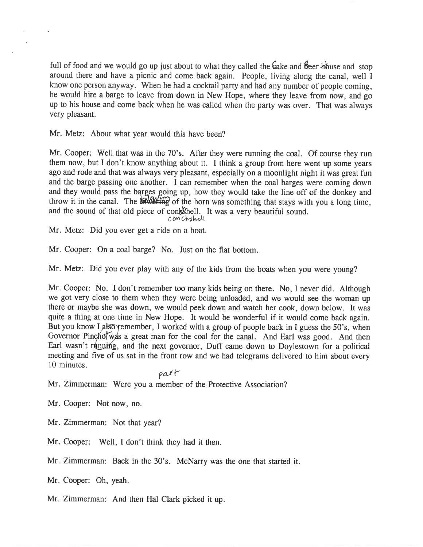full of food and we would go up just about to what they called the Cake and Seer house and stop around there and have <sup>a</sup> <sup>p</sup>icnic and come back again. People, living along the canal, well <sup>I</sup> know one person anyway. When he had <sup>a</sup> cocktail party and had any number of people coming, he would hire <sup>a</sup> barge to leave from down in New Hope, where they leave from now, and go up to his house and come back when he was called when the party was over. That was always very pleasant.

Mr. Metz: About what year would this have been?

Mr. Cooper: Well that was in the 70's. After they were running the coal. Of course they run them now, but <sup>I</sup> don't know anything about it. <sup>I</sup> think <sup>a</sup> group from here went up some years ago and rode and that was always very <sup>p</sup>leasant, especially on <sup>a</sup> moonlight night it was grea<sup>t</sup> fun and the barge passing one another. <sup>I</sup> can remember when the coal barges were coming down and they would pass the barges going up, how they would take the line off of the donkey and throw it in the canal. The **owletting** of the horn was something that stays with you a long time, and the sound of that old piece of conkshell. It was a very beautiful sound.

Mr. Metz: Did you ever ge<sup>t</sup> <sup>a</sup> ride on <sup>a</sup> boat.

Mr. Cooper: On <sup>a</sup> coal barge? No. Just on the flat bottom.

Mr. Metz: Did you ever <sup>p</sup>lay with any of the kids from the boats when you were young?

Mr. Cooper: No. <sup>I</sup> don't remember too many kids being on there. No, <sup>I</sup> never did. Although we go<sup>t</sup> very close to them when they were being unloaded, and we would see the woman up there or maybe she was down, we would peek down and watch her cook, down below. It was quite <sup>a</sup> thing at one time in New Hope. It would be wonderful if it would come back again. But you know I also remember, I worked with a group of people back in I guess the 50's, when Governor Pincholwas a great man for the coal for the canal. And Earl was good. And then Earl wasn't running, and the next governor, Duff came down to Doylestown for a political meeting and five of us sat in the front row and we had telegrams delivered to him about every 10 minutes.

 $part$ 

Mr. Zimmerman: Were you <sup>a</sup> member of the Protective Association?

Mr. Cooper: Not now, no.

Mr. Zimmerman: Not that year?

Mr. Cooper: Well, <sup>I</sup> don't think they had it then.

Mr. Zimmerman: Back in the 30's. McNarry was the one that started it.

Mr. Cooper: Oh, yeah.

Mr. Zimmerman: And then Hal Clark <sup>p</sup>icked it up.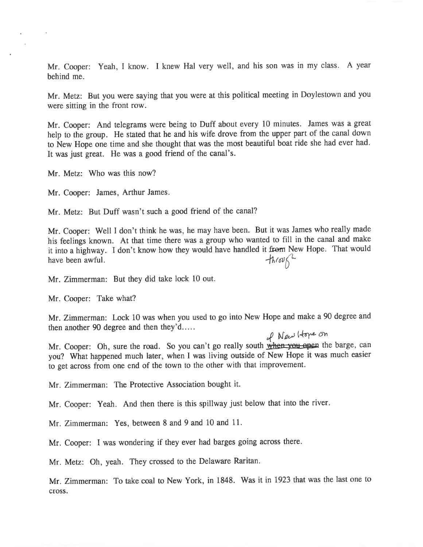Mr. Cooper: Yeah, <sup>I</sup> know. <sup>I</sup> knew Hal very well, and his son was in my class. <sup>A</sup> year behind me.

Mr. Metz: But you were saying that you were at this political meeting in Doylestown and you were sitting in the front row.

Mr. Cooper: And telegrams were being to Duff about every <sup>10</sup> minutes. James was <sup>a</sup> grea<sup>t</sup> help to the group. He stated that he and his wife drove from the upper par<sup>t</sup> of the canal down to New Hope one time and she thought that was the most beautiful boat ride she had ever had. It was just great. He was <sup>a</sup> goo<sup>d</sup> friend of the canal's.

Mr. Metz: Who was this now?

Mr. Cooper: James, Arthur James.

Mr. Metz: But Duff wasn't such <sup>a</sup> good friend of the canal?

Mr. Cooper: Well <sup>I</sup> don't think he was, he may have been. But it was James who really made his feelings known. At that time there was <sup>a</sup> group who wanted to fill in the canal and make it into a highway. I don't know how they would have handled it from New Hope. That would have been awful.<br> $\int h/\omega \int_{0}^{\infty}$ have been awful.

Mr. Zimmerman: But they did take lock 10 out.

Mr. Cooper: Take what?

Mr. Zimmerman: Lock <sup>10</sup> was when you used to go into New Hope and make <sup>a</sup> <sup>90</sup> degree and then another 90 degree and then they'd

Mr. Cooper: Oh, sure the road. So you can't go really south when you open the barge, can you? What happened much later, when <sup>I</sup> was living outside of New Hope it was much easier to ge<sup>t</sup> across from one end of the town to the other with that improvement.

Mr. Zimmerman: The Protective Association bought it.

Mr. Cooper: Yeah. And then there is this spillway just below that into the river.

Mr. Zimmerman: Yes, between 8 and 9 and 10 and 11.

Mr. Cooper: <sup>I</sup> was wondering if they ever had barges going across there.

Mr. Metz: Oh, yeah. They crossed to the Delaware Raritan.

Mr. Zimmerman: To take coal to New York, in 1848. Was it in 1923 that was the last one to cross.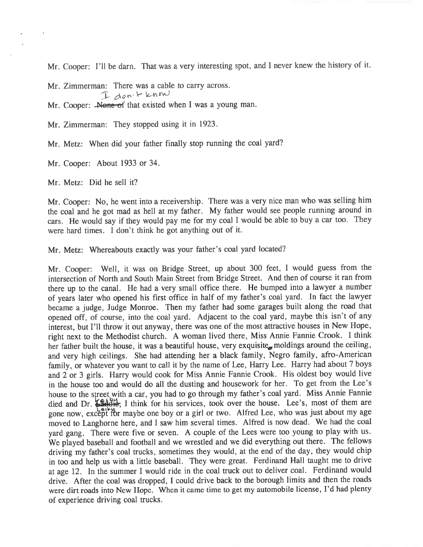Mr. Cooper: I'll be darn. That was <sup>a</sup> very interesting spot, and <sup>I</sup> never knew the history of it.

Mr. Zimmerman: There was <sup>a</sup> cable to carry across.

I don't know

Mr. Cooper: None of that existed when I was a young man.

Mr. Zimmerman: They stopped using it in 1923.

Mr. Metz: When did your father finally stop running the coal yard?

Mr. Cooper: About 1933 or 34.

Mr. Metz: Did he sell it?

Mr. Cooper: No, he went into <sup>a</sup> receivership. There was <sup>a</sup> very nice man who was selling him the coal and he go<sup>t</sup> mad as hell at my father. My father would see people running around in cars. He would say if they would pay me for my coal I would be able to buy a car too. They were hard times. <sup>I</sup> don't think he go<sup>t</sup> anything out of it.

Mr. Metz: Whereabouts exactly was your father's coal yar<sup>d</sup> located?

Mr. Cooper: Well, it was on Bridge Street, up about <sup>300</sup> feet, <sup>I</sup> would guess from the intersection of North and South Main Street from Bridge Street. And then of course it ran from there up to the canal. He had <sup>a</sup> very small office there. He bumped into <sup>a</sup> lawyer <sup>a</sup> number of years later who opene<sup>d</sup> his first office in half of my father's coal yard. In fact the lawyer became <sup>a</sup> judge, Judge Monroe. Then my father had some garages built along the road that opene<sup>d</sup> off, of course, into the coal yard. Adjacent to the coal yard, maybe this isn't of any interest, but I'll throw it out anyway, there was one of the most attractive houses in New Hope, right next to the Methodist church. <sup>A</sup> woman lived there, Miss Annie Fannie Crook. <sup>I</sup> think her father built the house, it was a beautiful house, very exquisite moldings around the ceiling, and very high ceilings. She had attending her <sup>a</sup> black family, Negro family, afro-American family, or whatever you want to call it by the name of Lee, Harry Lee. Harry had about <sup>7</sup> boys and <sup>2</sup> or <sup>3</sup> <sup>g</sup>irls. Harry would cook for Miss Annie Fannie Crook. His oldest boy would live in the house too and would do all the dusting and housework for her. To ge<sup>t</sup> from the Lee's house to the street with a car, you had to go through my father's coal yard. Miss Annie Fannie died and Dr. **1944**. I think for his services, took over the house. Lee's, most of them are gone now, except for maybe one boy or a girl or two. Alfred Lee, who was just about my age moved to Langhorne here, and <sup>I</sup> saw him several times. Alfred is now dead. We had the coal yar<sup>d</sup> gang. There were five or seven. <sup>A</sup> couple of the Lees were too young to <sup>p</sup>lay with us. We <sup>p</sup>layed baseball and football and we wrestled and we did everything out there. The fellows driving my father's coal trucks, sometimes they would, at the end of the day, they would chip in too and help us with <sup>a</sup> little baseball. They were great. Ferdinand Hall taught me to drive at age 12. In the summer <sup>I</sup> would ride in the coal truck out to deliver coal. Ferdinand would drive. After the coal was dropped, <sup>I</sup> could drive back to the borough limits and then the roads were dirt roads into New Hope. When it came time to get my automobile license, I'd had plenty of experience driving coal trucks.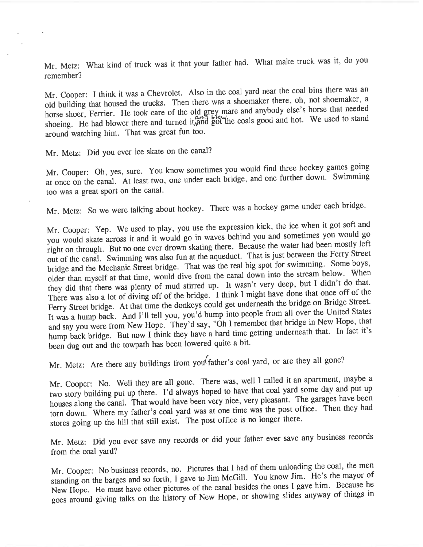Mr. Metz: What kind of truck was it that your father had. What make truck was it, do you remember?

Mr. Cooper: <sup>I</sup> think it was <sup>a</sup> Chevrolet. Also in the coal yar<sup>d</sup> near the coal bins there was an old building that housed the trucks. Then there was a shoemaker there, oh, not shoemaker, a horse shoer, Ferrier. He took care of the old grey mare and anybody else's horse that needed shoeing. He had blower there and turned it, and got the coals good and hot. We used to stand around watching him. That was grea<sup>t</sup> fun too.

Mr. Metz: Did you ever ice skate on the canal?

Mr. Cooper: Oh, yes, sure. You know sometimes you would find three hockey games going at once on the canal. At least two, one under each bridge, and one further down. Swimming too was <sup>a</sup> grea<sup>t</sup> spor<sup>t</sup> on the cana).

Mr. Metz: So we were talking about hockey. There was <sup>a</sup> hockey game under each bridge.

Mr. Cooper: Yep. We used to <sup>p</sup>lay, you use the expression kick, the ice when it go<sup>t</sup> soft and you would skate across it and it would go in waves behind you and sometimes you would go right on through. But no one ever drown skating there. Because the water had been mostly left out of the canal. Swimming was also fun at the aqueduct. That is just between the Ferry Street bridge and the Mechanic Street bridge. That was the real big spo<sup>t</sup> for swimming. Some boys, older than myself at that time, would dive from the canal down into the stream below. When they did that there was <sup>p</sup>lenty of mud stirred up. It wasn't very deep, but <sup>I</sup> didn't do that. There was also <sup>a</sup> lot of diving off of the bridge. <sup>I</sup> think <sup>I</sup> might have done that once off of the Ferry Street bridge. At that time the donkeys could ge<sup>t</sup> underneath the bridge on Bridge Street. It was <sup>a</sup> hump back. And I'll tell you, you'd bump into people from all over the United States and say you were from New Hope. They'd say, "Oh <sup>I</sup> remember that bridge in New Hope, that hump back bridge. But now <sup>I</sup> think they have <sup>a</sup> hard time getting underneath that. In fact it's been dug out and the towpath has been lowered quite <sup>a</sup> bit.

Mr. Metz: Are there any buildings from you father's coal yard, or are they all gone?

Mr. Cooper: No. Well they are all gone. There was, well <sup>I</sup> called it an apartment, maybe <sup>a</sup> two story building pu<sup>t</sup> up there. I'd always hoped to have that coal yar<sup>d</sup> some day and pu<sup>t</sup> up houses along the canal. That would have been very nice, very <sup>p</sup>leasant. The garages have been torn down. Where my father's coal yar<sup>d</sup> was at one time was the pos<sup>t</sup> office. Then they had stores going up the hill that still exist. The pos<sup>t</sup> office is no longer there.

Mr. Metz: Did you ever save any records or did your father ever save any business records from the coal yard?

Mr. Cooper: No business records, no. Pictures that <sup>I</sup> had of them unloading the coal, the men standing on the barges and so forth, <sup>I</sup> gave to Jim McGill. You know Jim. He's the mayor of New Hope. He must have other <sup>p</sup>ictures of the canal besides the ones <sup>I</sup> gave him. Because he goes around <sup>g</sup>iving talks on the history of New Hope, or showing slides anyway of things in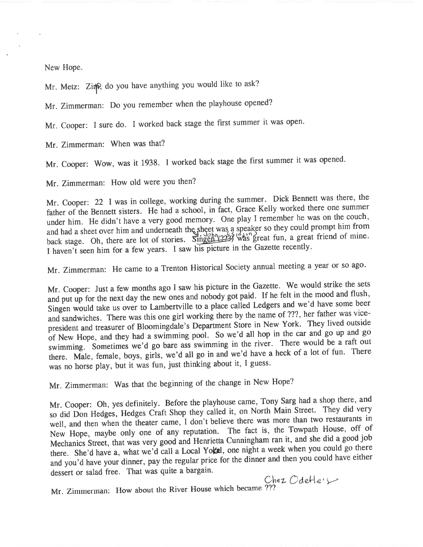New Hope.

Mr. Metz: Zinp, do you have anything you would like to ask?

Mr. Zimmerman: Do you remember when the <sup>p</sup>layhouse opened?

Mr. Cooper: <sup>I</sup> sure do. <sup>I</sup> worked back stage the first summer it was open.

Mr. Zimmerman: When was that?

Mr. Cooper: Wow, was it 1938. <sup>1</sup> worked back stage the first summer it was opened.

Mr. Zimmerman: How old were you then?

Mr. Cooper: <sup>22</sup> <sup>I</sup> was in college, working during the summer. Dick Bennett was there, the father of the Bennett sisters. He had <sup>a</sup> school, in fact, Grace Kelly worked there one summer under him. He didn't have <sup>a</sup> very goo<sup>d</sup> memory. One <sup>p</sup>lay <sup>I</sup> remember he was on the couch, and had a sheet over him and underneath the sheet was a speaker so they could prompt him from back stage. Oh, there are lot of stories. Singen (225) was great fun, a great friend of mine. <sup>I</sup> haven't seen him for <sup>a</sup> few years. <sup>I</sup> saw his <sup>p</sup>icture in the Gazette recently.

Mr. Zimmerman: He came to <sup>a</sup> Trenton Historical Society annual meeting <sup>a</sup> year or so ago.

Mr. Cooper: Just <sup>a</sup> few months ago <sup>I</sup> saw his <sup>p</sup>icture in the Gazette. We would strike the sets and pu<sup>t</sup> up for the next day the new ones and nobody go<sup>t</sup> paid. If he felt in the mood and flush, Singen would take us over to Lambertville to a place called Ledgers and we'd have some beer and sandwiches. There was this one girl working there by the name of ???, her father was vicepresident and treasurer of Bloomingdale's Department Store in New York. They lived outside of New Hope, and they had <sup>a</sup> swimming pool. So we'd all hop in the car and go up and go swimming. Sometimes we'd go bare ass swimming in the river. There would be <sup>a</sup> raft out there. Male, female, boys, <sup>g</sup>irls, we'd all go in and we'd have <sup>a</sup> heck of <sup>a</sup> lot of fun. There was no horse <sup>p</sup>lay, but it was fun, just thinking about it, <sup>I</sup> guess.

Mr. Zimmerman: Was that the beginning of the change in New Hope?

Mr. Cooper: Oh, yes definitely. Before the playhouse came, Tony Sarg had a shop there, and so did Don Hedges, Hedges Craft Shop they called it, on North Main Street. They did very well, and then when the theater came, <sup>I</sup> don't believe there was more than two restaurants in New Hope, maybe only one of any reputation. The fact is, the Towpath House, off of Mechanics Street, that was very good and Henrietta Cunningham ran it, and she did a good job there. She'd have a, what we'd call a Local Yokal, one night a week when you could go there and you'd have your dinner, pay the regular price for the dinner and then you could have either dessert or salad free. That was quite <sup>a</sup> bargain.

Chez Odefle $\rightarrow$ 

Mr. Zimmerman: How about the River House which became ???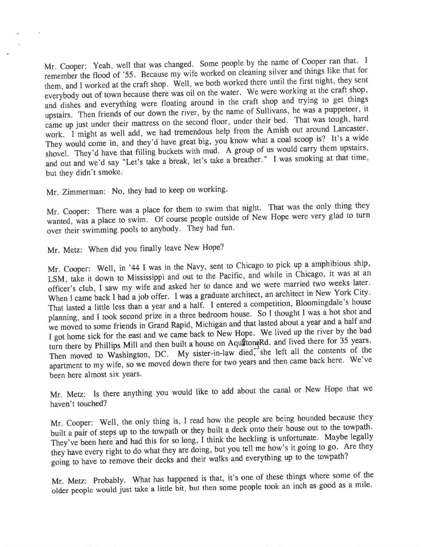Mr. Cooper: Yeah, well that was changed. Some people by the name of Cooper ran that. <sup>I</sup> remember the flood of '55. Because my wife worked on cleaning silver and things like that for them, and <sup>I</sup> worked at the craft shop. Well, we both worked there until the first night, they sent everybody out of town because there was oil on the water. We were working at the craft shop, and dishes and everything were floating around in the craft shop and trying to ge<sup>t</sup> things upstairs. Then friends of our down the river, by the name of Sullivans, he was a puppeteer, it came up just under their mattress on the second floor, under their bed. That was tough, hard work. <sup>I</sup> might as well add, we had tremendous help from the Amish out around Lancaster. Work. I might as well also, we have great big, you know what a coal scoop is? It's a wide<br>They would come in, and they'd have great big, you know what a coal scoop is? It's a wide shovel. They'd have that filling buckets with mud. A group of us would carry them upstairs, and out and we'd say "Let's take <sup>a</sup> break, let's take <sup>a</sup> breather." <sup>I</sup> was smoking at that time, but they didn't smoke.

Mr. Zimmerman: No, they had to keep on working.

Mr. Cooper: There was a place for them to swim that night. That was the only thing they white cooperture to swim. Of course people outside of New Hope were very glad to turn over their swimming poois to anybody. They had fun.

Mr. Metz: When did you finally leave New Hope?

Mr. Cooper: Well, in '44 I was in the Navy, sent to Chicago to pick up a amphibious ship, LSM, take it down to Mississippi and out to the Pacific, and while in Chicago, it was at an officer's club, <sup>I</sup> saw my wife and asked her to dance and we were married two weeks later. When I came back I had a job offer. I was a graduate architect, an architect in New York City. When I came back I had a job server. planning, and I took second prize in a three bedroom house. So I thought I was a hot shot and<br>have been and a half and planning, and I took second price in a line.<br>We moved to some friends in Grand Rapid, Michigan and that lasted about a year and a half and <sup>I</sup> go<sup>t</sup> home sick for the east and we came back to New Hope. We lived up the river by the bad turn there by Phillips Mill and then built a house on AquatomeRd. and lived there for 35 years. Then moved to Washington, DC. My sister-in-law died, she left all the contents of the apartment to my wife, so we moved down there for two years and then came back here. We've been here almost six years.

Mr. Metz: Is there anything you would like to add about the canal or New Hope that we haven't touched?

Mr. Cooper: Well, the only thing is, <sup>I</sup> read how the people are being hounded because they built <sup>a</sup> pair of steps up to the towpath or they built <sup>a</sup> deck onto their house out to the towpath. They've been here and had this for so long, I think the heckling is unfortunate. Maybe legally they have every right to do what they are doing, but you tell me how's it going to go. Are they going to have to remove their decks and their walks and everything up to the towpath?

Mr. Metz: Probably. What has happened is that, it's one of these things where some of the older people would just take <sup>a</sup> little bit, but then some people took an inch as goo<sup>d</sup> as <sup>a</sup> mile.